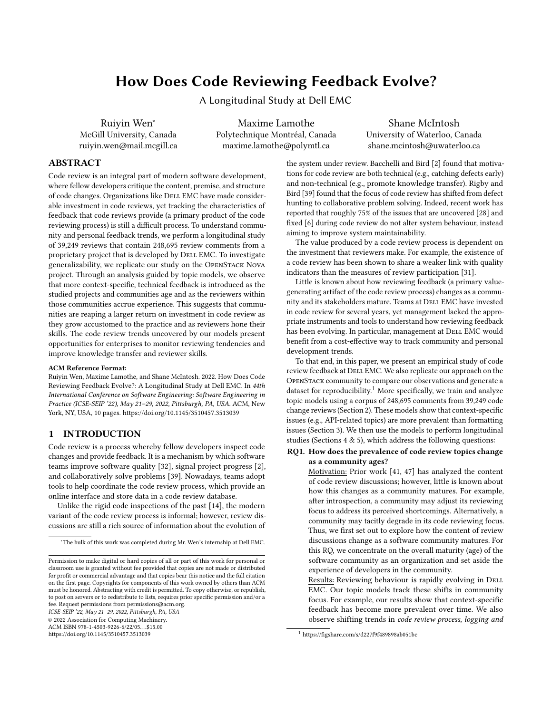# <span id="page-0-0"></span>How Does Code Reviewing Feedback Evolve?

A Longitudinal Study at Dell EMC

Ruiyin Wen<sup>∗</sup> McGill University, Canada ruiyin.wen@mail.mcgill.ca

Maxime Lamothe Polytechnique Montréal, Canada maxime.lamothe@polymtl.ca

Shane McIntosh University of Waterloo, Canada shane.mcintosh@uwaterloo.ca

# ABSTRACT

Code review is an integral part of modern software development, where fellow developers critique the content, premise, and structure of code changes. Organizations like DELL EMC have made considerable investment in code reviews, yet tracking the characteristics of feedback that code reviews provide (a primary product of the code reviewing process) is still a difficult process. To understand community and personal feedback trends, we perform a longitudinal study of 39,249 reviews that contain 248,695 review comments from a proprietary project that is developed by DELL EMC. To investigate generalizability, we replicate our study on the OpenStack Nova project. Through an analysis guided by topic models, we observe that more context-specific, technical feedback is introduced as the studied projects and communities age and as the reviewers within those communities accrue experience. This suggests that communities are reaping a larger return on investment in code review as they grow accustomed to the practice and as reviewers hone their skills. The code review trends uncovered by our models present opportunities for enterprises to monitor reviewing tendencies and improve knowledge transfer and reviewer skills.

#### ACM Reference Format:

Ruiyin Wen, Maxime Lamothe, and Shane McIntosh. 2022. How Does Code Reviewing Feedback Evolve?: A Longitudinal Study at Dell EMC. In 44th International Conference on Software Engineering: Software Engineering in Practice (ICSE-SEIP '22), May 21–29, 2022, Pittsburgh, PA, USA. ACM, New York, NY, USA, [10](#page-9-0) pages.<https://doi.org/10.1145/3510457.3513039>

## <span id="page-0-1"></span>1 INTRODUCTION

Code review is a process whereby fellow developers inspect code changes and provide feedback. It is a mechanism by which software teams improve software quality [\[32\]](#page-9-1), signal project progress [\[2\]](#page-8-0), and collaboratively solve problems [\[39\]](#page-9-2). Nowadays, teams adopt tools to help coordinate the code review process, which provide an online interface and store data in a code review database.

Unlike the rigid code inspections of the past [\[14\]](#page-9-3), the modern variant of the code review process is informal; however, review discussions are still a rich source of information about the evolution of

ICSE-SEIP '22, May 21–29, 2022, Pittsburgh, PA, USA

© 2022 Association for Computing Machinery.

ACM ISBN 978-1-4503-9226-6/22/05. . . \$15.00

<https://doi.org/10.1145/3510457.3513039>

the system under review. Bacchelli and Bird [\[2\]](#page-8-0) found that motivations for code review are both technical (e.g., catching defects early) and non-technical (e.g., promote knowledge transfer). Rigby and Bird [\[39\]](#page-9-2) found that the focus of code review has shifted from defect hunting to collaborative problem solving. Indeed, recent work has reported that roughly 75% of the issues that are uncovered [\[28\]](#page-9-4) and fixed [\[6\]](#page-8-1) during code review do not alter system behaviour, instead aiming to improve system maintainability.

The value produced by a code review process is dependent on the investment that reviewers make. For example, the existence of a code review has been shown to share a weaker link with quality indicators than the measures of review participation [\[31\]](#page-9-5).

Little is known about how reviewing feedback (a primary valuegenerating artifact of the code review process) changes as a community and its stakeholders mature. Teams at DELL EMC have invested in code review for several years, yet management lacked the appropriate instruments and tools to understand how reviewing feedback has been evolving. In particular, management at DELL EMC would benefit from a cost-effective way to track community and personal development trends.

To that end, in this paper, we present an empirical study of code review feedback at DELL EMC. We also replicate our approach on the OpenStack community to compare our observations and generate a dataset for reproducibility.<sup>1</sup> More specifically, we train and analyze topic models using a corpus of 248,695 comments from 39,249 code change reviews (Section [2\)](#page-1-0). These models show that context-specific issues (e.g., API-related topics) are more prevalent than formatting issues (Section [3\)](#page-2-0). We then use the models to perform longitudinal studies (Sections [4](#page-4-0)  $\&$  [5\)](#page-6-0), which address the following questions:

## RQ1. How does the prevalence of code review topics change as a community ages?

Motivation: Prior work [\[41,](#page-9-6) [47\]](#page-9-7) has analyzed the content of code review discussions; however, little is known about how this changes as a community matures. For example, after introspection, a community may adjust its reviewing focus to address its perceived shortcomings. Alternatively, a community may tacitly degrade in its code reviewing focus. Thus, we first set out to explore how the content of review discussions change as a software community matures. For this RQ, we concentrate on the overall maturity (age) of the software community as an organization and set aside the experience of developers in the community.

Results: Reviewing behaviour is rapidly evolving in DELL EMC. Our topic models track these shifts in community focus. For example, our results show that context-specific feedback has become more prevalent over time. We also observe shifting trends in code review process, logging and

<sup>∗</sup>The bulk of this work was completed during Mr. Wen's internship at Dell EMC.

Permission to make digital or hard copies of all or part of this work for personal or classroom use is granted without fee provided that copies are not made or distributed for profit or commercial advantage and that copies bear this notice and the full citation on the first page. Copyrights for components of this work owned by others than ACM must be honored. Abstracting with credit is permitted. To copy otherwise, or republish, to post on servers or to redistribute to lists, requires prior specific permission and/or a fee. Request permissions from permissions@acm.org.

<sup>1</sup> <https://figshare.com/s/d227f9f489898ab051bc>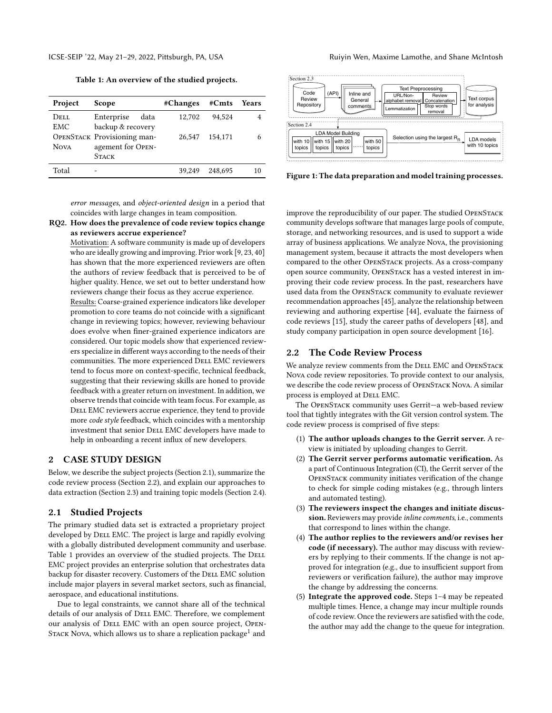Table 1: An overview of the studied projects.

<span id="page-1-3"></span>

| Project     | Scope                       | #Changes | #Cints  | Years |
|-------------|-----------------------------|----------|---------|-------|
| Dell        | Enterprise<br>data          | 12.702   | 94.524  |       |
| <b>EMC</b>  | backup & recovery           |          |         |       |
|             | OPENSTACK Provisioning man- | 26.547   | 154.171 |       |
| <b>NOVA</b> | agement for OPEN-           |          |         |       |
|             | <b>STACK</b>                |          |         |       |
| Total       |                             | 39.249   | 248.695 | 10    |

error messages, and object-oriented design in a period that coincides with large changes in team composition.

#### RQ2. How does the prevalence of code review topics change as reviewers accrue experience?

Motivation: A software community is made up of developers who are ideally growing and improving. Prior work [\[9,](#page-9-8) [23,](#page-9-9) [40\]](#page-9-10) has shown that the more experienced reviewers are often the authors of review feedback that is perceived to be of higher quality. Hence, we set out to better understand how reviewers change their focus as they accrue experience.

Results: Coarse-grained experience indicators like developer promotion to core teams do not coincide with a significant change in reviewing topics; however, reviewing behaviour does evolve when finer-grained experience indicators are considered. Our topic models show that experienced reviewers specialize in different ways according to the needs of their communities. The more experienced DELL EMC reviewers tend to focus more on context-specific, technical feedback, suggesting that their reviewing skills are honed to provide feedback with a greater return on investment. In addition, we observe trends that coincide with team focus. For example, as DELL EMC reviewers accrue experience, they tend to provide more code style feedback, which coincides with a mentorship investment that senior DELL EMC developers have made to help in onboarding a recent influx of new developers.

# <span id="page-1-0"></span>2 CASE STUDY DESIGN

Below, we describe the subject projects (Section [2.1\)](#page-1-1), summarize the code review process (Section [2.2\)](#page-1-2), and explain our approaches to data extraction (Section [2.3\)](#page-2-1) and training topic models (Section [2.4\)](#page-2-2).

#### <span id="page-1-1"></span>2.1 Studied Projects

The primary studied data set is extracted a proprietary project developed by DELL EMC. The project is large and rapidly evolving with a globally distributed development community and userbase. Table [1](#page-1-3) provides an overview of the studied projects. The DELL EMC project provides an enterprise solution that orchestrates data backup for disaster recovery. Customers of the DELL EMC solution include major players in several market sectors, such as financial, aerospace, and educational institutions.

Due to legal constraints, we cannot share all of the technical details of our analysis of DELL EMC. Therefore, we complement our analysis of DELL EMC with an open source project, OPEN-Sтаск Nova, which allows us to share a replication package $^1$  $^1$  and

<span id="page-1-4"></span>

Figure 1: The data preparation and model training processes.

improve the reproducibility of our paper. The studied OpenStack community develops software that manages large pools of compute, storage, and networking resources, and is used to support a wide array of business applications. We analyze Nova, the provisioning management system, because it attracts the most developers when compared to the other OpenStack projects. As a cross-company open source community, OpenStack has a vested interest in improving their code review process. In the past, researchers have used data from the OpenStack community to evaluate reviewer recommendation approaches [\[45\]](#page-9-11), analyze the relationship between reviewing and authoring expertise [\[44\]](#page-9-12), evaluate the fairness of code reviews [\[15\]](#page-9-13), study the career paths of developers [\[48\]](#page-9-14), and study company participation in open source development [\[16\]](#page-9-15).

# <span id="page-1-2"></span>2.2 The Code Review Process

We analyze review comments from the DELL EMC and OPENSTACK Nova code review repositories. To provide context to our analysis, we describe the code review process of OpenStack Nova. A similar process is employed at DELL EMC.

The OpenStack community uses Gerrit—a web-based review tool that tightly integrates with the Git version control system. The code review process is comprised of five steps:

- (1) The author uploads changes to the Gerrit server. A review is initiated by uploading changes to Gerrit.
- (2) The Gerrit server performs automatic verification. As a part of Continuous Integration (CI), the Gerrit server of the OpenStack community initiates verification of the change to check for simple coding mistakes (e.g., through linters and automated testing).
- (3) The reviewers inspect the changes and initiate discussion. Reviewers may provide *inline comments*, i.e., comments that correspond to lines within the change.
- (4) The author replies to the reviewers and/or revises her code (if necessary). The author may discuss with reviewers by replying to their comments. If the change is not approved for integration (e.g., due to insufficient support from reviewers or verification failure), the author may improve the change by addressing the concerns.
- (5) Integrate the approved code. Steps 1–4 may be repeated multiple times. Hence, a change may incur multiple rounds of code review. Once the reviewers are satisfied with the code, the author may add the change to the queue for integration.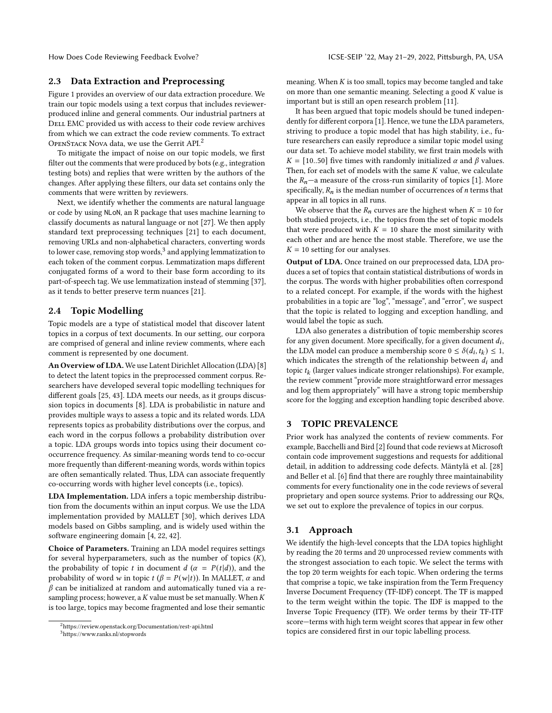## <span id="page-2-1"></span>2.3 Data Extraction and Preprocessing

Figure [1](#page-1-4) provides an overview of our data extraction procedure. We train our topic models using a text corpus that includes reviewerproduced inline and general comments. Our industrial partners at DELL EMC provided us with access to their code review archives from which we can extract the code review comments. To extract OpenStack Nova data, we use the Gerrit API.[2](#page-0-0)

To mitigate the impact of noise on our topic models, we first filter out the comments that were produced by bots (e.g., integration testing bots) and replies that were written by the authors of the changes. After applying these filters, our data set contains only the comments that were written by reviewers.

Next, we identify whether the comments are natural language or code by using NLoN, an R package that uses machine learning to classify documents as natural language or not [\[27\]](#page-9-16). We then apply standard text preprocessing techniques [\[21\]](#page-9-17) to each document, removing URLs and non-alphabetical characters, converting words to lower case, removing stop words,<sup>[3](#page-0-0)</sup> and applying lemmatization to each token of the comment corpus. Lemmatization maps different conjugated forms of a word to their base form according to its part-of-speech tag. We use lemmatization instead of stemming [\[37\]](#page-9-18), as it tends to better preserve term nuances [\[21\]](#page-9-17).

## <span id="page-2-2"></span>2.4 Topic Modelling

Topic models are a type of statistical model that discover latent topics in a corpus of text documents. In our setting, our corpora are comprised of general and inline review comments, where each comment is represented by one document.

An Overview of LDA. We use Latent Dirichlet Allocation (LDA) [\[8\]](#page-9-19) to detect the latent topics in the preprocessed comment corpus. Researchers have developed several topic modelling techniques for different goals [\[25,](#page-9-20) [43\]](#page-9-21). LDA meets our needs, as it groups discussion topics in documents [\[8\]](#page-9-19). LDA is probabilistic in nature and provides multiple ways to assess a topic and its related words. LDA represents topics as probability distributions over the corpus, and each word in the corpus follows a probability distribution over a topic. LDA groups words into topics using their document cooccurrence frequency. As similar-meaning words tend to co-occur more frequently than different-meaning words, words within topics are often semantically related. Thus, LDA can associate frequently co-occurring words with higher level concepts (i.e., topics).

LDA Implementation. LDA infers a topic membership distribution from the documents within an input corpus. We use the LDA implementation provided by MALLET [\[30\]](#page-9-22), which derives LDA models based on Gibbs sampling, and is widely used within the software engineering domain [\[4,](#page-8-2) [22,](#page-9-23) [42\]](#page-9-24).

Choice of Parameters. Training an LDA model requires settings for several hyperparameters, such as the number of topics  $(K)$ , the probability of topic t in document  $d(\alpha = P(t|d))$ , and the probability of word w in topic  $t (\beta = P(w|t))$ . In MALLET,  $\alpha$  and  $\beta$  can be initialized at random and automatically tuned via a resampling process; however, a  $K$  value must be set manually. When  $K$ is too large, topics may become fragmented and lose their semantic

meaning. When  $K$  is too small, topics may become tangled and take on more than one semantic meaning. Selecting a good  $K$  value is important but is still an open research problem [\[11\]](#page-9-25).

It has been argued that topic models should be tuned independently for different corpora [\[1\]](#page-8-3). Hence, we tune the LDA parameters, striving to produce a topic model that has high stability, i.e., future researchers can easily reproduce a similar topic model using our data set. To achieve model stability, we first train models with  $K = [10..50]$  five times with randomly initialized  $\alpha$  and  $\beta$  values. Then, for each set of models with the same  $K$  value, we calculate the  $R_n$ —a measure of the cross-run similarity of topics [\[1\]](#page-8-3). More specifically,  $R_n$  is the median number of occurrences of *n* terms that appear in all topics in all runs.

We observe that the  $R_n$  curves are the highest when  $K = 10$  for both studied projects, i.e., the topics from the set of topic models that were produced with  $K = 10$  share the most similarity with each other and are hence the most stable. Therefore, we use the  $K = 10$  setting for our analyses.

Output of LDA. Once trained on our preprocessed data, LDA produces a set of topics that contain statistical distributions of words in the corpus. The words with higher probabilities often correspond to a related concept. For example, if the words with the highest probabilities in a topic are "log", "message", and "error", we suspect that the topic is related to logging and exception handling, and would label the topic as such.

LDA also generates a distribution of topic membership scores for any given document. More specifically, for a given document  $d_i$ , the LDA model can produce a membership score  $0 \leq \delta(d_i, t_k) \leq 1$ , which indicates the strength of the relationship between  $d_i$  and topic  $t_k$  (larger values indicate stronger relationships). For example, the review comment "provide more straightforward error messages and log them appropriately" will have a strong topic membership score for the logging and exception handling topic described above.

#### <span id="page-2-0"></span>3 TOPIC PREVALENCE

Prior work has analyzed the contents of review comments. For example, Bacchelli and Bird [\[2\]](#page-8-0) found that code reviews at Microsoft contain code improvement suggestions and requests for additional detail, in addition to addressing code defects. Mäntylä et al. [\[28\]](#page-9-4) and Beller et al. [\[6\]](#page-8-1) find that there are roughly three maintainability comments for every functionality one in the code reviews of several proprietary and open source systems. Prior to addressing our RQs, we set out to explore the prevalence of topics in our corpus.

## 3.1 Approach

We identify the high-level concepts that the LDA topics highlight by reading the 20 terms and 20 unprocessed review comments with the strongest association to each topic. We select the terms with the top 20 term weights for each topic. When ordering the terms that comprise a topic, we take inspiration from the Term Frequency Inverse Document Frequency (TF-IDF) concept. The TF is mapped to the term weight within the topic. The IDF is mapped to the Inverse Topic Frequency (ITF). We order terms by their TF-ITF score—terms with high term weight scores that appear in few other topics are considered first in our topic labelling process.

<sup>2</sup><https://review.openstack.org/Documentation/rest-api.html> <sup>3</sup><https://www.ranks.nl/stopwords>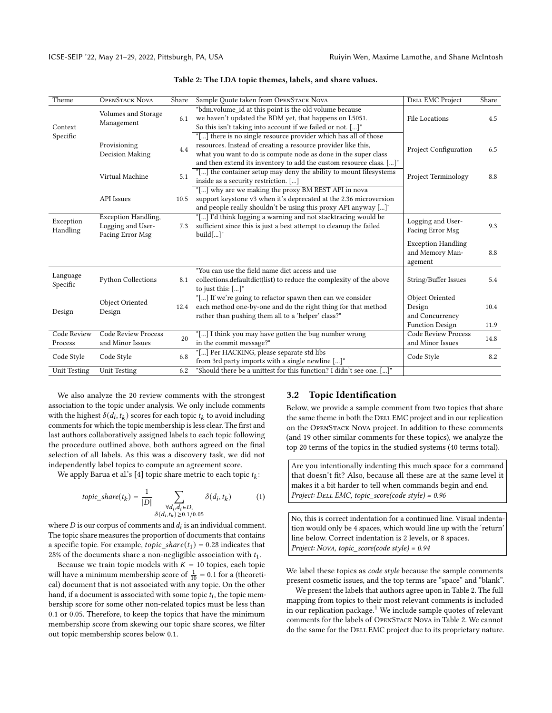<span id="page-3-0"></span>

| Theme                  | <b>OPENSTACK NOVA</b>                                               | Share | Sample Quote taken from OPENSTACK NOVA                                                                                                                                                                                                                                    | <b>DELL EMC Project</b>                                                | Share        |
|------------------------|---------------------------------------------------------------------|-------|---------------------------------------------------------------------------------------------------------------------------------------------------------------------------------------------------------------------------------------------------------------------------|------------------------------------------------------------------------|--------------|
| Context<br>Specific    | Volumes and Storage<br>Management                                   | 6.1   | "bdm.volume_id at this point is the old volume because<br>we haven't updated the BDM yet, that happens on L5051.<br>So this isn't taking into account if we failed or not. []"                                                                                            | File Locations                                                         | 4.5          |
|                        | Provisioning<br>Decision Making                                     | 4.4   | "[] there is no single resource provider which has all of those<br>resources. Instead of creating a resource provider like this,<br>what you want to do is compute node as done in the super class<br>and then extend its inventory to add the custom resource class. []" | <b>Project Configuration</b>                                           | 6.5          |
|                        | Virtual Machine                                                     | 5.1   | "[] the container setup may deny the ability to mount filesystems<br>inside as a security restriction. []                                                                                                                                                                 | Project Terminology                                                    | 8.8          |
|                        | <b>API</b> Issues                                                   | 10.5  | "[] why are we making the proxy BM REST API in nova<br>support keystone v3 when it's deprecated at the 2.36 microversion<br>and people really shouldn't be using this proxy API anyway []"                                                                                |                                                                        |              |
| Exception<br>Handling  | <b>Exception Handling,</b><br>Logging and User-<br>Facing Error Msg | 7.3   | "[] I'd think logging a warning and not stacktracing would be<br>sufficient since this is just a best attempt to cleanup the failed<br>build[]"                                                                                                                           | Logging and User-<br>Facing Error Msg                                  | 9.3          |
|                        |                                                                     |       |                                                                                                                                                                                                                                                                           | <b>Exception Handling</b><br>and Memory Man-<br>agement                | 8.8          |
| Language<br>Specific   | <b>Python Collections</b>                                           | 8.1   | "You can use the field name dict access and use<br>collections.defaultdict(list) to reduce the complexity of the above<br>to just this: $[\dots]$ "                                                                                                                       | String/Buffer Issues                                                   | 5.4          |
| Design                 | Object Oriented<br>Design                                           | 12.4  | "[] If we're going to refactor spawn then can we consider<br>each method one-by-one and do the right thing for that method<br>rather than pushing them all to a 'helper' class?"                                                                                          | Object Oriented<br>Design<br>and Concurrency<br><b>Function Design</b> | 10.4<br>11.9 |
| Code Review<br>Process | <b>Code Review Process</b><br>and Minor Issues                      | 20    | "[] I think you may have gotten the bug number wrong<br>in the commit message?"                                                                                                                                                                                           | <b>Code Review Process</b><br>and Minor Issues                         | 14.8         |
| Code Style             | Code Style                                                          | 6.8   | "[] Per HACKING, please separate std libs<br>from 3rd party imports with a single newline []"                                                                                                                                                                             | Code Style                                                             | 8.2          |
| <b>Unit Testing</b>    | <b>Unit Testing</b>                                                 | 6.2   | "Should there be a unittest for this function? I didn't see one. []"                                                                                                                                                                                                      |                                                                        |              |

#### Table 2: The LDA topic themes, labels, and share values.

We also analyze the 20 review comments with the strongest association to the topic under analysis. We only include comments with the highest  $\delta(\vec{d}_i, t_k)$  scores for each topic  $t_k$  to avoid including comments for which the topic membership is less clear. The first and last authors collaboratively assigned labels to each topic following the procedure outlined above, both authors agreed on the final selection of all labels. As this was a discovery task, we did not independently label topics to compute an agreement score.

We apply Barua et al.'s [\[4\]](#page-8-2) topic share metric to each topic  $t_k$ :

$$
topic\_share(t_k) = \frac{1}{|D|} \sum_{\substack{\forall d_i, d_i \in D, \\ \delta(d_i, t_k) \ge 0.1/0.05}} \delta(d_i, t_k)
$$
 (1)

where  $D$  is our corpus of comments and  $d_i$  is an individual comment. The topic share measures the proportion of documents that contains a specific topic. For example,  $topic\_share(t_1) = 0.28$  indicates that 28% of the documents share a non-negligible association with  $t_1$ .

Because we train topic models with  $K = 10$  topics, each topic will have a minimum membership score of  $\frac{1}{10} = 0.1$  for a (theoretical) document that is not associated with any topic. On the other hand, if a document is associated with some topic  $t_i$ , the topic membership score for some other non-related topics must be less than 0.1 or 0.05. Therefore, to keep the topics that have the minimum membership score from skewing our topic share scores, we filter out topic membership scores below 0.1.

#### 3.2 Topic Identification

Below, we provide a sample comment from two topics that share the same theme in both the DELL EMC project and in our replication on the OpenStack Nova project. In addition to these comments (and 19 other similar comments for these topics), we analyze the top 20 terms of the topics in the studied systems (40 terms total).

Are you intentionally indenting this much space for a command that doesn't fit? Also, because all these are at the same level it makes it a bit harder to tell when commands begin and end. Project: DELL EMC, topic\_score(code style) = 0.96

No, this is correct indentation for a continued line. Visual indentation would only be 4 spaces, which would line up with the 'return' line below. Correct indentation is 2 levels, or 8 spaces. Project: Nova, topic\_score(code style) = 0.94

We label these topics as *code style* because the sample comments present cosmetic issues, and the top terms are "space" and "blank".

We present the labels that authors agree upon in Table [2.](#page-3-0) The full mapping from topics to their most relevant comments is included in our replication package.<sup>[1](#page-0-1)</sup> We include sample quotes of relevant comments for the labels of OpenStack Nova in Table [2.](#page-3-0) We cannot do the same for the DELL EMC project due to its proprietary nature.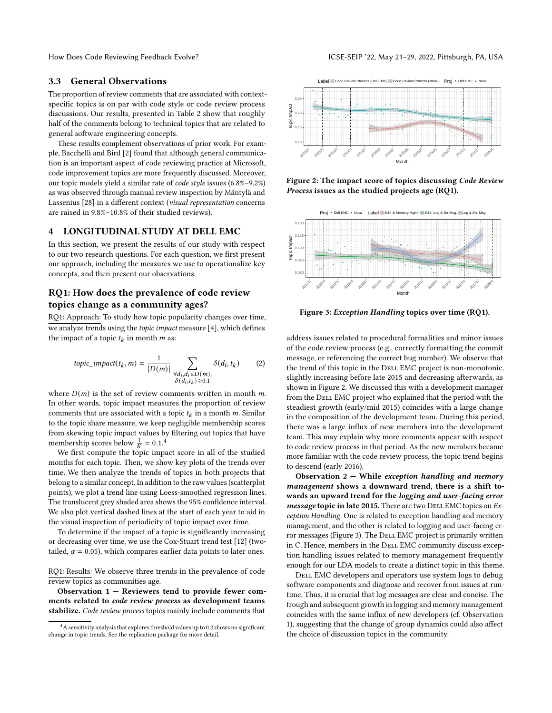How Does Code Reviewing Feedback Evolve? In the state of the USE-SEIP '22, May 21–29, 2022, Pittsburgh, PA, USA

## 3.3 General Observations

The proportion of review comments that are associated with contextspecific topics is on par with code style or code review process discussions. Our results, presented in Table [2](#page-3-0) show that roughly half of the comments belong to technical topics that are related to general software engineering concepts.

These results complement observations of prior work. For example, Bacchelli and Bird [\[2\]](#page-8-0) found that although general communication is an important aspect of code reviewing practice at Microsoft, code improvement topics are more frequently discussed. Moreover, our topic models yield a similar rate of code style issues (6.8%–9.2%) as was observed through manual review inspection by Mäntylä and Lassenius [\[28\]](#page-9-4) in a different context (visual representation concerns are raised in 9.8%–10.8% of their studied reviews).

#### <span id="page-4-0"></span>4 LONGITUDINAL STUDY AT DELL EMC

In this section, we present the results of our study with respect to our two research questions. For each question, we first present our approach, including the measures we use to operationalize key concepts, and then present our observations.

# RQ1: How does the prevalence of code review topics change as a community ages?

RQ1: Approach: To study how topic popularity changes over time, we analyze trends using the topic impact measure [\[4\]](#page-8-2), which defines the impact of a topic  $t_k$  in month  $m$  as:

<span id="page-4-3"></span>
$$
topic\_impact(t_k, m) = \frac{1}{|D(m)|} \sum_{\substack{\forall d_i, d_i \in D(m), \\ \delta(d_i, t_k) \ge 0.1}} \delta(d_i, t_k)
$$
 (2)

where  $D(m)$  is the set of review comments written in month m. In other words, topic impact measures the proportion of review comments that are associated with a topic  $t_k$  in a month m. Similar to the topic share measure, we keep negligible membership scores from skewing topic impact values by filtering out topics that have membership scores below  $\frac{1}{K} = 0.1$ .<sup>[4](#page-0-0)</sup>

We first compute the topic impact score in all of the studied months for each topic. Then, we show key plots of the trends over time. We then analyze the trends of topics in both projects that belong to a similar concept. In addition to the raw values (scatterplot points), we plot a trend line using Loess-smoothed regression lines. The translucent grey shaded area shows the 95% confidence interval. We also plot vertical dashed lines at the start of each year to aid in the visual inspection of periodicity of topic impact over time.

To determine if the impact of a topic is significantly increasing or decreasing over time, we use the Cox-Stuart trend test [\[12\]](#page-9-26) (twotailed,  $\alpha = 0.05$ ), which compares earlier data points to later ones.

RQ1: Results: We observe three trends in the prevalence of code review topics as communities age.

Observation 1 — Reviewers tend to provide fewer comments related to code review process as development teams stabilize. Code review process topics mainly include comments that

<span id="page-4-1"></span>

Figure 2: The impact score of topics discussing Code Review Process issues as the studied projects age (RQ1).

<span id="page-4-2"></span>

Figure 3: Exception Handling topics over time (RQ1).

address issues related to procedural formalities and minor issues of the code review process (e.g., correctly formatting the commit message, or referencing the correct bug number). We observe that the trend of this topic in the DELL EMC project is non-monotonic, slightly increasing before late 2015 and decreasing afterwards, as shown in Figure [2.](#page-4-1) We discussed this with a development manager from the DELL EMC project who explained that the period with the steadiest growth (early/mid 2015) coincides with a large change in the composition of the development team. During this period, there was a large influx of new members into the development team. This may explain why more comments appear with respect to code review process in that period. As the new members became more familiar with the code review process, the topic trend begins to descend (early 2016).

Observation  $2$  – While exception handling and memory management shows a downward trend, there is a shift towards an upward trend for the logging and user-facing error  $message$  topic in late 2015. There are two DELL EMC topics on  $Ex$ ception Handling. One is related to exception handling and memory management, and the other is related to logging and user-facing er-ror messages (Figure [3\)](#page-4-2). The DELL EMC project is primarily written in C. Hence, members in the DELL EMC community discuss exception handling issues related to memory management frequently enough for our LDA models to create a distinct topic in this theme.

DELL EMC developers and operators use system logs to debug software components and diagnose and recover from issues at runtime. Thus, it is crucial that log messages are clear and concise. The trough and subsequent growth in logging and memory management coincides with the same influx of new developers (cf. Observation 1), suggesting that the change of group dynamics could also affect the choice of discussion topics in the community.

 ${}^{4}{\rm A}$  sensitivity analysis that explores threshold values up to 0.2 shows no significant change in topic trends. See the replication package for more detail.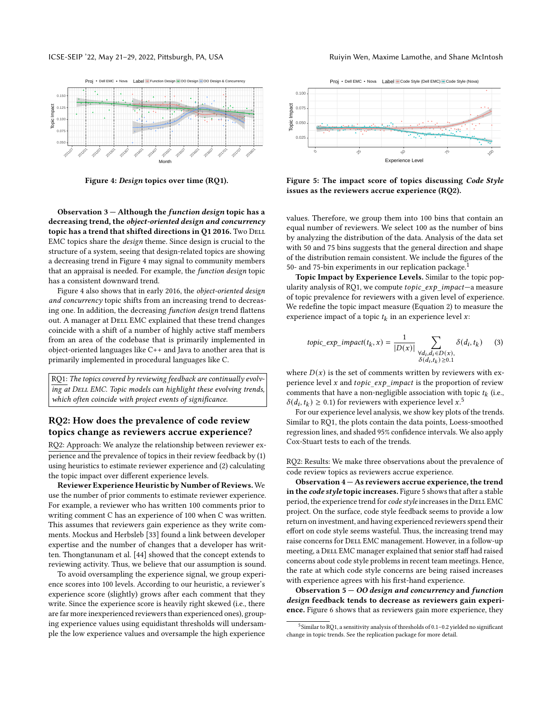

<span id="page-5-0"></span>

Figure 4: Design topics over time (RQ1).

Observation 3 — Although the function design topic has a decreasing trend, the object-oriented design and concurrency topic has a trend that shifted directions in Q1 2016. Two DELL EMC topics share the design theme. Since design is crucial to the structure of a system, seeing that design-related topics are showing a decreasing trend in Figure [4](#page-5-0) may signal to community members that an appraisal is needed. For example, the function design topic has a consistent downward trend.

Figure [4](#page-5-0) also shows that in early 2016, the object-oriented design and concurrency topic shifts from an increasing trend to decreasing one. In addition, the decreasing function design trend flattens out. A manager at DELL EMC explained that these trend changes coincide with a shift of a number of highly active staff members from an area of the codebase that is primarily implemented in object-oriented languages like C++ and Java to another area that is primarily implemented in procedural languages like C.

RQ1: The topics covered by reviewing feedback are continually evolving at DELL EMC. Topic models can highlight these evolving trends, which often coincide with project events of significance.

# RQ2: How does the prevalence of code review topics change as reviewers accrue experience?

RQ2: Approach: We analyze the relationship between reviewer experience and the prevalence of topics in their review feedback by (1) using heuristics to estimate reviewer experience and (2) calculating the topic impact over different experience levels.

Reviewer Experience Heuristic by Number of Reviews. We use the number of prior comments to estimate reviewer experience. For example, a reviewer who has written 100 comments prior to writing comment C has an experience of 100 when C was written. This assumes that reviewers gain experience as they write comments. Mockus and Herbsleb [\[33\]](#page-9-27) found a link between developer expertise and the number of changes that a developer has written. Thongtanunam et al. [\[44\]](#page-9-12) showed that the concept extends to reviewing activity. Thus, we believe that our assumption is sound.

To avoid oversampling the experience signal, we group experience scores into 100 levels. According to our heuristic, a reviewer's experience score (slightly) grows after each comment that they write. Since the experience score is heavily right skewed (i.e., there are far more inexperienced reviewers than experienced ones), grouping experience values using equidistant thresholds will undersample the low experience values and oversample the high experience

<span id="page-5-1"></span>

Figure 5: The impact score of topics discussing Code Style issues as the reviewers accrue experience (RQ2).

values. Therefore, we group them into 100 bins that contain an equal number of reviewers. We select 100 as the number of bins by analyzing the distribution of the data. Analysis of the data set with 50 and 75 bins suggests that the general direction and shape of the distribution remain consistent. We include the figures of the 50- and 75-bin experiments in our replication package.<sup>[1](#page-0-1)</sup>

Topic Impact by Experience Levels. Similar to the topic popularity analysis of RQ1, we compute  $topic\_exp\_impact -a$  measure of topic prevalence for reviewers with a given level of experience. We redefine the topic impact measure (Equation [2\)](#page-4-3) to measure the experience impact of a topic  $t_k$  in an experience level x:

$$
topic\_exp\_impact(t_k, x) = \frac{1}{|D(x)|} \sum_{\substack{\forall d_i, d_i \in D(x),\\ \delta(d_i, t_k) \ge 0.1}} \delta(d_i, t_k)
$$
 (3)

where  $D(x)$  is the set of comments written by reviewers with experience level x and topic  $exp\_impact$  is the proportion of review comments that have a non-negligible association with topic  $t_k$  (i.e.,  $\delta(d_i, t_k) \geq 0.1$ ) for reviewers with experience level  $x$ .<sup>[5](#page-0-0)</sup>

For our experience level analysis, we show key plots of the trends. Similar to RQ1, the plots contain the data points, Loess-smoothed regression lines, and shaded 95% confidence intervals. We also apply Cox-Stuart tests to each of the trends.

RQ2: Results: We make three observations about the prevalence of code review topics as reviewers accrue experience.

Observation 4 — As reviewers accrue experience, the trend in the code style topic increases. Figure [5](#page-5-1) shows that after a stable period, the experience trend for code style increases in the DELL EMC project. On the surface, code style feedback seems to provide a low return on investment, and having experienced reviewers spend their effort on code style seems wasteful. Thus, the increasing trend may raise concerns for DELL EMC management. However, in a follow-up meeting, a DELL EMC manager explained that senior staff had raised concerns about code style problems in recent team meetings. Hence, the rate at which code style concerns are being raised increases with experience agrees with his first-hand experience.

Observation 5 — OO design and concurrency and function design feedback tends to decrease as reviewers gain experience. Figure [6](#page-6-1) shows that as reviewers gain more experience, they

<sup>&</sup>lt;sup>5</sup> Similar to RQ1, a sensitivity analysis of thresholds of 0.1-0.2 yielded no significant change in topic trends. See the replication package for more detail.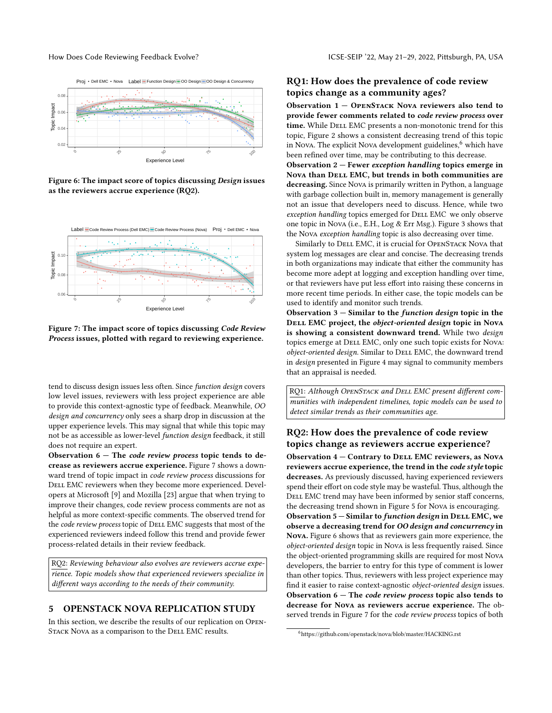<span id="page-6-1"></span>

Figure 6: The impact score of topics discussing Design issues as the reviewers accrue experience (RQ2).

<span id="page-6-2"></span>

Figure 7: The impact score of topics discussing Code Review Process issues, plotted with regard to reviewing experience.

tend to discuss design issues less often. Since function design covers low level issues, reviewers with less project experience are able to provide this context-agnostic type of feedback. Meanwhile, OO design and concurrency only sees a sharp drop in discussion at the upper experience levels. This may signal that while this topic may not be as accessible as lower-level function design feedback, it still does not require an expert.

Observation  $6$  – The *code review process* topic tends to decrease as reviewers accrue experience. Figure [7](#page-6-2) shows a downward trend of topic impact in code review process discussions for DELL EMC reviewers when they become more experienced. Developers at Microsoft [\[9\]](#page-9-8) and Mozilla [\[23\]](#page-9-9) argue that when trying to improve their changes, code review process comments are not as helpful as more context-specific comments. The observed trend for the code review process topic of DELL EMC suggests that most of the experienced reviewers indeed follow this trend and provide fewer process-related details in their review feedback.

RQ2: Reviewing behaviour also evolves are reviewers accrue experience. Topic models show that experienced reviewers specialize in different ways according to the needs of their community.

# <span id="page-6-0"></span>5 OPENSTACK NOVA REPLICATION STUDY

In this section, we describe the results of our replication on Open-STACK NOVA as a comparison to the DELL EMC results.

# RQ1: How does the prevalence of code review topics change as a community ages?

Observation  $1 -$  OPENSTACK NOVA reviewers also tend to provide fewer comments related to code review process over time. While DELL EMC presents a non-monotonic trend for this topic, Figure [2](#page-4-1) shows a consistent decreasing trend of this topic in Nova. The explicit Nova development guidelines, $6$  which have been refined over time, may be contributing to this decrease.

Observation  $2$  – Fewer exception handling topics emerge in Nova than DELL EMC, but trends in both communities are decreasing. Since Nova is primarily written in Python, a language with garbage collection built in, memory management is generally not an issue that developers need to discuss. Hence, while two exception handling topics emerged for DELL EMC we only observe one topic in Nova (i.e., E.H., Log & Err Msg.). Figure [3](#page-4-2) shows that the Nova exception handling topic is also decreasing over time.

Similarly to DELL EMC, it is crucial for OPENSTACK NOVA that system log messages are clear and concise. The decreasing trends in both organizations may indicate that either the community has become more adept at logging and exception handling over time, or that reviewers have put less effort into raising these concerns in more recent time periods. In either case, the topic models can be used to identify and monitor such trends.

Observation  $3$  – Similar to the *function design* topic in the DELL EMC project, the object-oriented design topic in Nova is showing a consistent downward trend. While two design topics emerge at DELL EMC, only one such topic exists for Nova: object-oriented design. Similar to DELL EMC, the downward trend in design presented in Figure [4](#page-5-0) may signal to community members that an appraisal is needed.

RQ1: Although OPENSTACK and DELL EMC present different communities with independent timelines, topic models can be used to detect similar trends as their communities age.

# RQ2: How does the prevalence of code review topics change as reviewers accrue experience?

Observation 4 – Contrary to DELL EMC reviewers, as Nova reviewers accrue experience, the trend in the code style topic decreases. As previously discussed, having experienced reviewers spend their effort on code style may be wasteful. Thus, although the DELL EMC trend may have been informed by senior staff concerns, the decreasing trend shown in Figure [5](#page-5-1) for Nova is encouraging. Observation  $5 -$  Similar to function design in DELL EMC, we observe a decreasing trend for OO design and concurrency in Nova. Figure [6](#page-6-1) shows that as reviewers gain more experience, the object-oriented design topic in Nova is less frequently raised. Since the object-oriented programming skills are required for most Nova developers, the barrier to entry for this type of comment is lower than other topics. Thus, reviewers with less project experience may find it easier to raise context-agnostic object-oriented design issues. Observation  $6$  – The *code review process* topic also tends to decrease for Nova as reviewers accrue experience. The ob-served trends in Figure [7](#page-6-2) for the *code review process* topics of both

<sup>6</sup><https://github.com/openstack/nova/blob/master/HACKING.rst>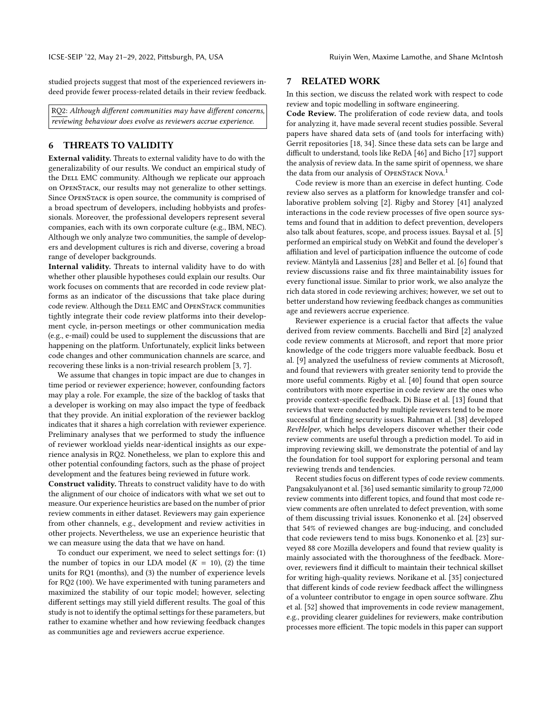studied projects suggest that most of the experienced reviewers indeed provide fewer process-related details in their review feedback.

RQ2: Although different communities may have different concerns, reviewing behaviour does evolve as reviewers accrue experience.

## 6 THREATS TO VALIDITY

External validity. Threats to external validity have to do with the generalizability of our results. We conduct an empirical study of the DELL EMC community. Although we replicate our approach on OpenStack, our results may not generalize to other settings. Since OpenStack is open source, the community is comprised of a broad spectrum of developers, including hobbyists and professionals. Moreover, the professional developers represent several companies, each with its own corporate culture (e.g., IBM, NEC). Although we only analyze two communities, the sample of developers and development cultures is rich and diverse, covering a broad range of developer backgrounds.

Internal validity. Threats to internal validity have to do with whether other plausible hypotheses could explain our results. Our work focuses on comments that are recorded in code review platforms as an indicator of the discussions that take place during code review. Although the DELL EMC and OPENSTACK communities tightly integrate their code review platforms into their development cycle, in-person meetings or other communication media (e.g., e-mail) could be used to supplement the discussions that are happening on the platform. Unfortunately, explicit links between code changes and other communication channels are scarce, and recovering these links is a non-trivial research problem [\[3,](#page-8-4) [7\]](#page-9-28).

We assume that changes in topic impact are due to changes in time period or reviewer experience; however, confounding factors may play a role. For example, the size of the backlog of tasks that a developer is working on may also impact the type of feedback that they provide. An initial exploration of the reviewer backlog indicates that it shares a high correlation with reviewer experience. Preliminary analyses that we performed to study the influence of reviewer workload yields near-identical insights as our experience analysis in RQ2. Nonetheless, we plan to explore this and other potential confounding factors, such as the phase of project development and the features being reviewed in future work.

Construct validity. Threats to construct validity have to do with the alignment of our choice of indicators with what we set out to measure. Our experience heuristics are based on the number of prior review comments in either dataset. Reviewers may gain experience from other channels, e.g., development and review activities in other projects. Nevertheless, we use an experience heuristic that we can measure using the data that we have on hand.

To conduct our experiment, we need to select settings for: (1) the number of topics in our LDA model  $(K = 10)$ , (2) the time units for RQ1 (months), and (3) the number of experience levels for RQ2 (100). We have experimented with tuning parameters and maximized the stability of our topic model; however, selecting different settings may still yield different results. The goal of this study is not to identify the optimal settings for these parameters, but rather to examine whether and how reviewing feedback changes as communities age and reviewers accrue experience.

## 7 RELATED WORK

In this section, we discuss the related work with respect to code review and topic modelling in software engineering.

Code Review. The proliferation of code review data, and tools for analyzing it, have made several recent studies possible. Several papers have shared data sets of (and tools for interfacing with) Gerrit repositories [\[18,](#page-9-29) [34\]](#page-9-30). Since these data sets can be large and difficult to understand, tools like ReDA [\[46\]](#page-9-31) and Bicho [\[17\]](#page-9-32) support the analysis of review data. In the same spirit of openness, we share the data from our analysis of OPENSTACK NOVA.<sup>[1](#page-0-0)</sup>

Code review is more than an exercise in defect hunting. Code review also serves as a platform for knowledge transfer and collaborative problem solving [\[2\]](#page-8-0). Rigby and Storey [\[41\]](#page-9-6) analyzed interactions in the code review processes of five open source systems and found that in addition to defect prevention, developers also talk about features, scope, and process issues. Baysal et al. [\[5\]](#page-8-5) performed an empirical study on WebKit and found the developer's affiliation and level of participation influence the outcome of code review. Mäntylä and Lassenius [\[28\]](#page-9-4) and Beller et al. [\[6\]](#page-8-1) found that review discussions raise and fix three maintainability issues for every functional issue. Similar to prior work, we also analyze the rich data stored in code reviewing archives; however, we set out to better understand how reviewing feedback changes as communities age and reviewers accrue experience.

Reviewer experience is a crucial factor that affects the value derived from review comments. Bacchelli and Bird [\[2\]](#page-8-0) analyzed code review comments at Microsoft, and report that more prior knowledge of the code triggers more valuable feedback. Bosu et al. [\[9\]](#page-9-8) analyzed the usefulness of review comments at Microsoft, and found that reviewers with greater seniority tend to provide the more useful comments. Rigby et al. [\[40\]](#page-9-10) found that open source contributors with more expertise in code review are the ones who provide context-specific feedback. Di Biase et al. [\[13\]](#page-9-33) found that reviews that were conducted by multiple reviewers tend to be more successful at finding security issues. Rahman et al. [\[38\]](#page-9-34) developed RevHelper, which helps developers discover whether their code review comments are useful through a prediction model. To aid in improving reviewing skill, we demonstrate the potential of and lay the foundation for tool support for exploring personal and team reviewing trends and tendencies.

Recent studies focus on different types of code review comments. Pangsakulyanont et al. [\[36\]](#page-9-35) used semantic similarity to group 72,000 review comments into different topics, and found that most code review comments are often unrelated to defect prevention, with some of them discussing trivial issues. Kononenko et al. [\[24\]](#page-9-36) observed that 54% of reviewed changes are bug-inducing, and concluded that code reviewers tend to miss bugs. Kononenko et al. [\[23\]](#page-9-9) surveyed 88 core Mozilla developers and found that review quality is mainly associated with the thoroughness of the feedback. Moreover, reviewers find it difficult to maintain their technical skillset for writing high-quality reviews. Norikane et al. [\[35\]](#page-9-37) conjectured that different kinds of code review feedback affect the willingness of a volunteer contributor to engage in open source software. Zhu et al. [\[52\]](#page-9-38) showed that improvements in code review management, e.g., providing clearer guidelines for reviewers, make contribution processes more efficient. The topic models in this paper can support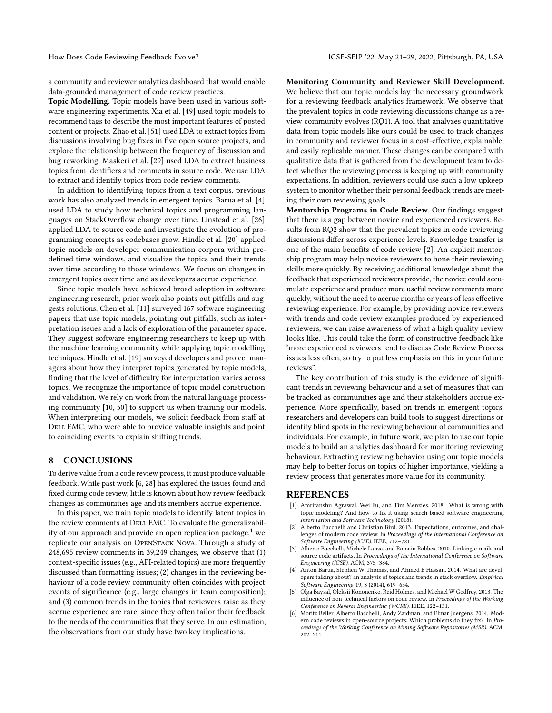a community and reviewer analytics dashboard that would enable data-grounded management of code review practices.

Topic Modelling. Topic models have been used in various software engineering experiments. Xia et al. [\[49\]](#page-9-39) used topic models to recommend tags to describe the most important features of posted content or projects. Zhao et al. [\[51\]](#page-9-40) used LDA to extract topics from discussions involving bug fixes in five open source projects, and explore the relationship between the frequency of discussion and bug reworking. Maskeri et al. [\[29\]](#page-9-41) used LDA to extract business topics from identifiers and comments in source code. We use LDA to extract and identify topics from code review comments.

In addition to identifying topics from a text corpus, previous work has also analyzed trends in emergent topics. Barua et al. [\[4\]](#page-8-2) used LDA to study how technical topics and programming languages on StackOverflow change over time. Linstead et al. [\[26\]](#page-9-42) applied LDA to source code and investigate the evolution of programming concepts as codebases grow. Hindle et al. [\[20\]](#page-9-43) applied topic models on developer communication corpora within predefined time windows, and visualize the topics and their trends over time according to those windows. We focus on changes in emergent topics over time and as developers accrue experience.

Since topic models have achieved broad adoption in software engineering research, prior work also points out pitfalls and suggests solutions. Chen et al. [\[11\]](#page-9-25) surveyed 167 software engineering papers that use topic models, pointing out pitfalls, such as interpretation issues and a lack of exploration of the parameter space. They suggest software engineering researchers to keep up with the machine learning community while applying topic modelling techniques. Hindle et al. [\[19\]](#page-9-44) surveyed developers and project managers about how they interpret topics generated by topic models, finding that the level of difficulty for interpretation varies across topics. We recognize the importance of topic model construction and validation. We rely on work from the natural language processing community [\[10,](#page-9-45) [50\]](#page-9-46) to support us when training our models. When interpreting our models, we solicit feedback from staff at DELL EMC, who were able to provide valuable insights and point to coinciding events to explain shifting trends.

## 8 CONCLUSIONS

To derive value from a code review process, it must produce valuable feedback. While past work [\[6,](#page-8-1) [28\]](#page-9-4) has explored the issues found and fixed during code review, little is known about how review feedback changes as communities age and its members accrue experience.

In this paper, we train topic models to identify latent topics in the review comments at DELL EMC. To evaluate the generalizability of our approach and provide an open replication package, $<sup>1</sup>$  $<sup>1</sup>$  $<sup>1</sup>$  we</sup> replicate our analysis on OpenStack Nova. Through a study of 248,695 review comments in 39,249 changes, we observe that (1) context-specific issues (e.g., API-related topics) are more frequently discussed than formatting issues; (2) changes in the reviewing behaviour of a code review community often coincides with project events of significance (e.g., large changes in team composition); and (3) common trends in the topics that reviewers raise as they accrue experience are rare, since they often tailor their feedback to the needs of the communities that they serve. In our estimation, the observations from our study have two key implications.

Monitoring Community and Reviewer Skill Development. We believe that our topic models lay the necessary groundwork for a reviewing feedback analytics framework. We observe that the prevalent topics in code reviewing discussions change as a review community evolves (RQ1). A tool that analyzes quantitative data from topic models like ours could be used to track changes in community and reviewer focus in a cost-effective, explainable, and easily replicable manner. These changes can be compared with qualitative data that is gathered from the development team to detect whether the reviewing process is keeping up with community expectations. In addition, reviewers could use such a low upkeep system to monitor whether their personal feedback trends are meeting their own reviewing goals.

Mentorship Programs in Code Review. Our findings suggest that there is a gap between novice and experienced reviewers. Results from RQ2 show that the prevalent topics in code reviewing discussions differ across experience levels. Knowledge transfer is one of the main benefits of code review [\[2\]](#page-8-0). An explicit mentorship program may help novice reviewers to hone their reviewing skills more quickly. By receiving additional knowledge about the feedback that experienced reviewers provide, the novice could accumulate experience and produce more useful review comments more quickly, without the need to accrue months or years of less effective reviewing experience. For example, by providing novice reviewers with trends and code review examples produced by experienced reviewers, we can raise awareness of what a high quality review looks like. This could take the form of constructive feedback like "more experienced reviewers tend to discuss Code Review Process issues less often, so try to put less emphasis on this in your future reviews".

The key contribution of this study is the evidence of significant trends in reviewing behaviour and a set of measures that can be tracked as communities age and their stakeholders accrue experience. More specifically, based on trends in emergent topics, researchers and developers can build tools to suggest directions or identify blind spots in the reviewing behaviour of communities and individuals. For example, in future work, we plan to use our topic models to build an analytics dashboard for monitoring reviewing behaviour. Extracting reviewing behavior using our topic models may help to better focus on topics of higher importance, yielding a review process that generates more value for its community.

### REFERENCES

- <span id="page-8-3"></span>[1] Amritanshu Agrawal, Wei Fu, and Tim Menzies. 2018. What is wrong with topic modeling? And how to fix it using search-based software engineering. Information and Software Technology (2018).
- <span id="page-8-0"></span>Alberto Bacchelli and Christian Bird. 2013. Expectations, outcomes, and challenges of modern code review. In Proceedings of the International Conference on Software Engineering (ICSE). IEEE, 712–721.
- <span id="page-8-4"></span>[3] Alberto Bacchelli, Michele Lanza, and Romain Robbes. 2010. Linking e-mails and source code artifacts. In Proceedings of the International Conference on Software Engineering (ICSE). ACM, 375–384.
- <span id="page-8-2"></span>Anton Barua, Stephen W Thomas, and Ahmed E Hassan. 2014. What are developers talking about? an analysis of topics and trends in stack overflow. Empirical Software Engineering 19, 3 (2014), 619–654.
- <span id="page-8-5"></span>[5] Olga Baysal, Oleksii Kononenko, Reid Holmes, and Michael W Godfrey. 2013. The influence of non-technical factors on code review. In Proceedings of the Working Conference on Reverse Engineering (WCRE). IEEE, 122–131.
- <span id="page-8-1"></span>Moritz Beller, Alberto Bacchelli, Andy Zaidman, and Elmar Juergens. 2014. Modern code reviews in open-source projects: Which problems do they fix?. In Proceedings of the Working Conference on Mining Software Repositories (MSR). ACM,  $202 - 211.$